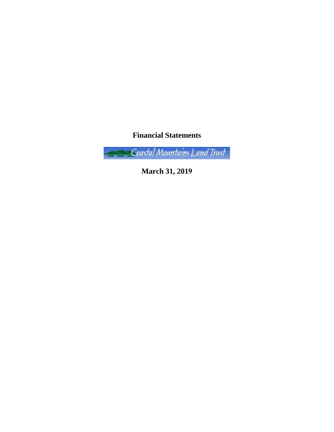**Financial Statements**

Coastal Mountains Land Trust

**March 31, 2019**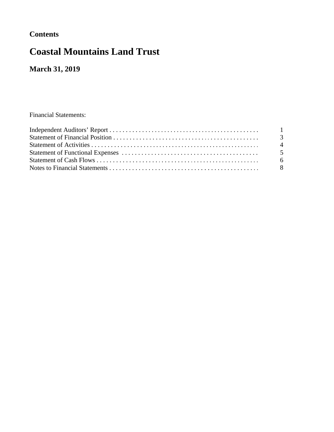## **Contents**

# **Coastal Mountains Land Trust**

**March 31, 2019**

Financial Statements: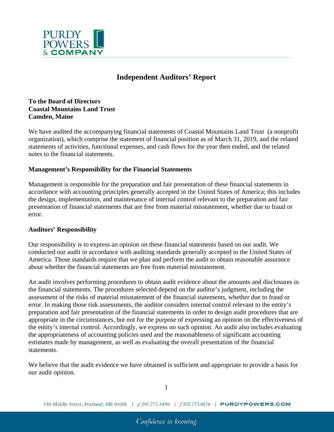

## **Independent Auditors' Report**

#### **To the Board of Directors Coastal Mountains Land Trust Camden, Maine**

We have audited the accompanying financial statements of Coastal Mountains Land Trust (a nonprofit organization), which comprise the statement of financial position as of March 31, 2019, and the related statements of activities, functional expenses, and cash flows for the year then ended, and the related notes to the financial statements.

#### **Management's Responsibility for the Financial Statements**

Management is responsible for the preparation and fair presentation of these financial statements in accordance with accounting principles generally accepted in the United States of America; this includes the design, implementation, and maintenance of internal control relevant to the preparation and fair presentation of financial statements that are free from material misstatement, whether due to fraud or error.

#### **Auditors' Responsibility**

Our responsibility is to express an opinion on these financial statements based on our audit. We conducted our audit in accordance with auditing standards generally accepted in the United States of America. Those standards require that we plan and perform the audit to obtain reasonable assurance about whether the financial statements are free from material misstatement.

An audit involves performing procedures to obtain audit evidence about the amounts and disclosures in the financial statements. The procedures selected depend on the auditor's judgment, including the assessment of the risks of material misstatement of the financial statements, whether due to fraud or error. In making those risk assessments, the auditor considers internal control relevant to the entity's preparation and fair presentation of the financial statements in order to design audit procedures that are appropriate in the circumstances, but not for the purpose of expressing an opinion on the effectiveness of the entity's internal control. Accordingly, we express no such opinion. An audit also includes evaluating the appropriateness of accounting policies used and the reasonableness of significant accounting estimates made by management, as well as evaluating the overall presentation of the financial statements.

We believe that the audit evidence we have obtained is sufficient and appropriate to provide a basis for our audit opinion.

1

130 Middle Street, Portland, ME 04101 | p 207.775.3496 | f 207.775.0176 | **PURDYPOWERS.COM**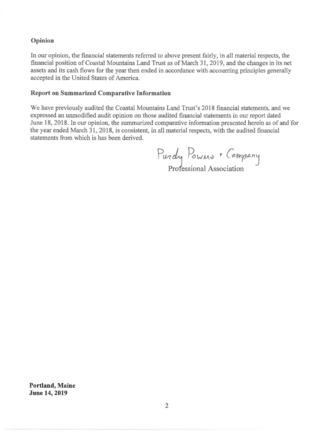#### **Opinion**

In our opinion, the financial statements referred to above present fairly, in all material respects, the financial position of Coastal Mountains Land Trust as of March 31, 2019, and the changes in its net assets and its cash flows for the year then ended in accordance with accounting principles generally accepted in the United States of America.

#### **Report on Summarized Comparative Information**

We have previously audited the Coastal Mountains Land Trust's 2018 financial statements, and we expressed an unmodified audit opinion on those audited financial statements in our report dated June 18, 2018. In our opinion, the summarized comparative information presented herein as of and for the year ended March 31, 2018, is consistent, in all material respects, with the audited financial statements from which is has been derived.

 $P$ urdy Powns & Company Professional Association

**Portland, Maine June 14, 2019**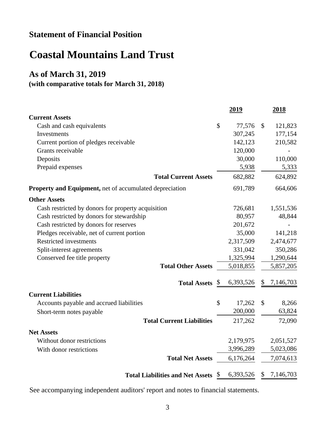## **Statement of Financial Position**

# **Coastal Mountains Land Trust**

## **As of March 31, 2019**

### **(with comparative totals for March 31, 2018)**

|                                                         |    | <u>2019</u> |               | <u>2018</u> |
|---------------------------------------------------------|----|-------------|---------------|-------------|
| <b>Current Assets</b>                                   |    |             |               |             |
| Cash and cash equivalents                               | \$ | 77,576      | \$            | 121,823     |
| Investments                                             |    | 307,245     |               | 177,154     |
| Current portion of pledges receivable                   |    | 142,123     |               | 210,582     |
| Grants receivable                                       |    | 120,000     |               |             |
| Deposits                                                |    | 30,000      |               | 110,000     |
| Prepaid expenses                                        |    | 5,938       |               | 5,333       |
| <b>Total Current Assets</b>                             |    | 682,882     |               | 624,892     |
| Property and Equipment, net of accumulated depreciation |    | 691,789     |               | 664,606     |
| <b>Other Assets</b>                                     |    |             |               |             |
| Cash restricted by donors for property acquisition      |    | 726,681     |               | 1,551,536   |
| Cash restricted by donors for stewardship               |    | 80,957      |               | 48,844      |
| Cash restricted by donors for reserves                  |    | 201,672     |               |             |
| Pledges receivable, net of current portion              |    | 35,000      |               | 141,218     |
| <b>Restricted investments</b>                           |    | 2,317,509   |               | 2,474,677   |
| Split-interest agreements                               |    | 331,042     |               | 350,286     |
| Conserved fee title property                            |    | 1,325,994   |               | 1,290,644   |
| <b>Total Other Assets</b>                               |    | 5,018,855   |               | 5,857,205   |
| <b>Total Assets</b> <u>§</u>                            |    | 6,393,526   | S             | 7,146,703   |
| <b>Current Liabilities</b>                              |    |             |               |             |
| Accounts payable and accrued liabilities                | \$ | 17,262      | $\mathcal{S}$ | 8,266       |
| Short-term notes payable                                |    | 200,000     |               | 63,824      |
| <b>Total Current Liabilities</b>                        |    | 217,262     |               | 72,090      |
| <b>Net Assets</b>                                       |    |             |               |             |
| Without donor restrictions                              |    | 2,179,975   |               | 2,051,527   |
| With donor restrictions                                 |    | 3,996,289   |               | 5,023,086   |
| <b>Total Net Assets</b>                                 |    | 6,176,264   |               | 7,074,613   |
| <b>Total Liabilities and Net Assets</b>                 | -S | 6,393,526   | \$            | 7,146,703   |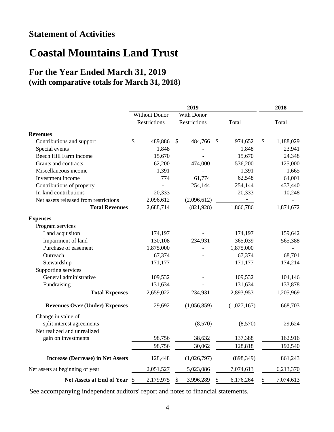# **Statement of Activities**

# **Coastal Mountains Land Trust**

## **For the Year Ended March 31, 2019 (with comparative totals for March 31, 2018)**

|                                          | 2019 |                      |    |              |               |             |    | 2018      |
|------------------------------------------|------|----------------------|----|--------------|---------------|-------------|----|-----------|
|                                          |      | <b>Without Donor</b> |    | With Donor   |               |             |    |           |
|                                          |      | Restrictions         |    | Restrictions |               | Total       |    | Total     |
| <b>Revenues</b>                          |      |                      |    |              |               |             |    |           |
| Contributions and support                | \$   | 489,886              | \$ | 484,766      | S.            | 974,652     | \$ | 1,188,029 |
| Special events                           |      | 1,848                |    |              |               | 1,848       |    | 23,941    |
| Beech Hill Farm income                   |      | 15,670               |    |              |               | 15,670      |    | 24,348    |
| Grants and contracts                     |      | 62,200               |    | 474,000      |               | 536,200     |    | 125,000   |
| Miscellaneous income                     |      | 1,391                |    |              |               | 1,391       |    | 1,665     |
| Investment income                        |      | 774                  |    | 61,774       |               | 62,548      |    | 64,001    |
| Contributions of property                |      |                      |    | 254,144      |               | 254,144     |    | 437,440   |
| In-kind contributions                    |      | 20,333               |    |              |               | 20,333      |    | 10,248    |
| Net assets released from restrictions    |      | 2,096,612            |    | (2,096,612)  |               |             |    |           |
| <b>Total Revenues</b>                    |      | 2,688,714            |    | (821, 928)   |               | 1,866,786   |    | 1,874,672 |
| <b>Expenses</b>                          |      |                      |    |              |               |             |    |           |
| Program services                         |      |                      |    |              |               |             |    |           |
| Land acquisiton                          |      | 174,197              |    |              |               | 174,197     |    | 159,642   |
| Impairment of land                       |      | 130,108              |    | 234,931      |               | 365,039     |    | 565,388   |
| Purchase of easement                     |      | 1,875,000            |    |              |               | 1,875,000   |    |           |
| Outreach                                 |      | 67,374               |    |              |               | 67,374      |    | 68,701    |
| Stewardship                              |      | 171,177              |    |              |               | 171,177     |    | 174,214   |
| Supporting services                      |      |                      |    |              |               |             |    |           |
| General administrative                   |      | 109,532              |    |              |               | 109,532     |    | 104,146   |
| Fundraising                              |      | 131,634              |    |              |               | 131,634     |    | 133,878   |
| <b>Total Expenses</b>                    |      | 2,659,022            |    | 234,931      |               | 2,893,953   |    | 1,205,969 |
| <b>Revenues Over (Under) Expenses</b>    |      | 29,692               |    | (1,056,859)  |               | (1,027,167) |    | 668,703   |
| Change in value of                       |      |                      |    |              |               |             |    |           |
| split interest agreements                |      |                      |    | (8,570)      |               | (8,570)     |    | 29,624    |
| Net realized and unrealized              |      |                      |    |              |               |             |    |           |
| gain on investments                      |      | 98,756               |    | 38,632       |               | 137,388     |    | 162,916   |
|                                          |      | 98,756               |    | 30,062       |               | 128,818     |    | 192,540   |
| <b>Increase (Decrease) in Net Assets</b> |      | 128,448              |    | (1,026,797)  |               | (898, 349)  |    | 861,243   |
| Net assets at beginning of year          |      | 2,051,527            |    | 5,023,086    |               | 7,074,613   |    | 6,213,370 |
| Net Assets at End of Year \$             |      | 2,179,975            | \$ | 3,996,289    | $\mathcal{S}$ | 6,176,264   | \$ | 7,074,613 |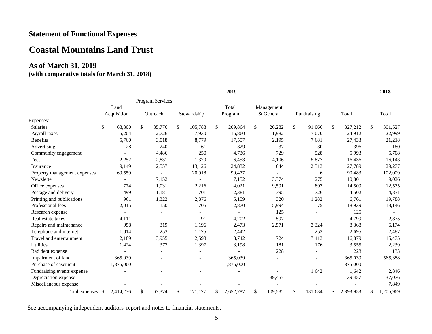## **Statement of Functional Expenses**

## **Coastal Mountains Land Trust**

## **As of March 31, 2019**

#### **(with comparative totals for March 31, 2018)**

|                              |                  |                          |    |                          |               |                          |              | 2019      |               |               |    |           |    | 2018      |
|------------------------------|------------------|--------------------------|----|--------------------------|---------------|--------------------------|--------------|-----------|---------------|---------------|----|-----------|----|-----------|
|                              | Program Services |                          |    |                          |               |                          |              |           |               |               |    |           |    |           |
|                              |                  | Land                     |    |                          |               |                          |              | Total     | Management    |               |    |           |    |           |
|                              |                  | Acquisition              |    | Outreach                 |               | Stewardship              |              | Program   | & General     | Fundraising   |    | Total     |    | Total     |
| Expenses:                    |                  |                          |    |                          |               |                          |              |           |               |               |    |           |    |           |
| Salaries                     | \$               | 68,300                   | \$ | 35,776                   | <sup>\$</sup> | 105,788                  | $\mathbb{S}$ | 209,864   | \$<br>26,282  | \$<br>91,066  | S. | 327,212   | \$ | 301,527   |
| Payroll taxes                |                  | 5,204                    |    | 2,726                    |               | 7,930                    |              | 15,860    | 1,982         | 7,070         |    | 24,912    |    | 22,999    |
| <b>Benefits</b>              |                  | 5,760                    |    | 3,018                    |               | 8,779                    |              | 17,557    | 2,195         | 7,681         |    | 27,433    |    | 21,218    |
| Advertising                  |                  | 28                       |    | 240                      |               | 61                       |              | 329       | 37            | 30            |    | 396       |    | 180       |
| Community engagement         |                  |                          |    | 4,486                    |               | 250                      |              | 4,736     | 729           | 528           |    | 5,993     |    | 5,708     |
| Fees                         |                  | 2,252                    |    | 2,831                    |               | 1,370                    |              | 6.453     | 4,106         | 5,877         |    | 16,436    |    | 16,143    |
| Insurance                    |                  | 9,149                    |    | 2,557                    |               | 13,126                   |              | 24,832    | 644           | 2,313         |    | 27,789    |    | 29,277    |
| Property management expenses |                  | 69,559                   |    |                          |               | 20,918                   |              | 90,477    |               | 6             |    | 90,483    |    | 102,009   |
| Newsletter                   |                  |                          |    | 7,152                    |               |                          |              | 7,152     | 3,374         | 275           |    | 10,801    |    | 9,026     |
| Office expenses              |                  | 774                      |    | 1,031                    |               | 2,216                    |              | 4,021     | 9,591         | 897           |    | 14,509    |    | 12,575    |
| Postage and delivery         |                  | 499                      |    | 1,181                    |               | 701                      |              | 2,381     | 395           | 1,726         |    | 4,502     |    | 4,831     |
| Printing and publications    |                  | 961                      |    | 1,322                    |               | 2,876                    |              | 5,159     | 320           | 1,282         |    | 6,761     |    | 19,788    |
| Professional fees            |                  | 2,015                    |    | 150                      |               | 705                      |              | 2,870     | 15,994        | 75            |    | 18,939    |    | 18,146    |
| Research expense             |                  | $\overline{\phantom{a}}$ |    | $\overline{\phantom{a}}$ |               |                          |              |           | 125           |               |    | 125       |    |           |
| Real estate taxes            |                  | 4,111                    |    |                          |               | 91                       |              | 4,202     | 597           |               |    | 4,799     |    | 2,875     |
| Repairs and maintenance      |                  | 958                      |    | 319                      |               | 1,196                    |              | 2,473     | 2,571         | 3,324         |    | 8,368     |    | 6,174     |
| Telephone and internet       |                  | 1,014                    |    | 253                      |               | 1,175                    |              | 2,442     |               | 253           |    | 2,695     |    | 2,487     |
| Travel and entertainment     |                  | 2,189                    |    | 3,955                    |               | 2,598                    |              | 8,742     | 724           | 7,413         |    | 16,879    |    | 15,475    |
| <b>Utilities</b>             |                  | 1,424                    |    | 377                      |               | 1,397                    |              | 3,198     | 181           | 176           |    | 3,555     |    | 2,239     |
| Bad debt expense             |                  |                          |    |                          |               |                          |              |           | 228           |               |    | 228       |    | 133       |
| Impairment of land           |                  | 365,039                  |    |                          |               |                          |              | 365,039   |               |               |    | 365,039   |    | 565,388   |
| Purchase of easement         |                  | 1,875,000                |    |                          |               | $\overline{\phantom{a}}$ |              | 1,875,000 |               |               |    | 1,875,000 |    |           |
| Fundraising events expense   |                  |                          |    |                          |               |                          |              |           |               | 1,642         |    | 1,642     |    | 2,846     |
| Depreciation expense         |                  |                          |    |                          |               |                          |              |           | 39,457        |               |    | 39,457    |    | 37,076    |
| Miscellaneous expense        |                  |                          |    |                          |               |                          |              |           |               |               |    |           |    | 7,849     |
| Total expenses \$            |                  | 2,414,236                | \$ | 67,374                   | \$            | 171,177                  | \$           | 2,652,787 | \$<br>109,532 | \$<br>131,634 | \$ | 2,893,953 | £. | 1,205,969 |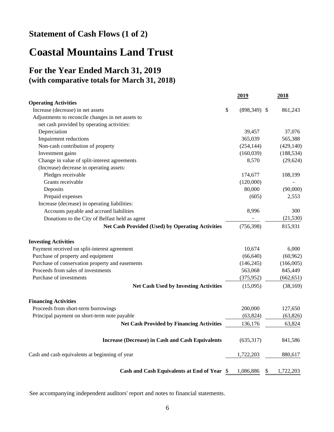## **Statement of Cash Flows (1 of 2)**

# **Coastal Mountains Land Trust**

## **For the Year Ended March 31, 2019 (with comparative totals for March 31, 2018)**

|                                                         | 2019                 | 2018            |
|---------------------------------------------------------|----------------------|-----------------|
| <b>Operating Activities</b>                             |                      |                 |
| Increase (decrease) in net assets                       | \$<br>$(898,349)$ \$ | 861,243         |
| Adjustments to reconcile changes in net assets to       |                      |                 |
| net cash provided by operating activities:              |                      |                 |
| Depreciation                                            | 39,457               | 37,076          |
| Impairment reductions                                   | 365,039              | 565,388         |
| Non-cash contribution of property                       | (254, 144)           | (429, 140)      |
| Investment gains                                        | (160, 039)           | (188, 534)      |
| Change in value of split-interest agreements            | 8,570                | (29, 624)       |
| (Increase) decrease in operating assets:                |                      |                 |
| Pledges receivable                                      | 174,677              | 108,199         |
| Grants receivable                                       | (120,000)            |                 |
| Deposits                                                | 80,000               | (90,000)        |
| Prepaid expenses                                        | (605)                | 2,553           |
| Increase (decrease) in operating liabilities:           |                      |                 |
| Accounts payable and accrued liabilities                | 8,996                | 300             |
| Donations to the City of Belfast held as agent          |                      | (21, 530)       |
| <b>Net Cash Provided (Used) by Operating Activities</b> | (756, 398)           | 815,931         |
| <b>Investing Activities</b>                             |                      |                 |
| Payment received on split-interest agreement            | 10,674               | 6,000           |
| Purchase of property and equipment                      | (66, 640)            | (60, 962)       |
| Purchase of conservation property and easements         | (146, 245)           | (166,005)       |
| Proceeds from sales of investments                      | 563,068              | 845,449         |
| Purchase of investments                                 | (375, 952)           | (662, 651)      |
| <b>Net Cash Used by Investing Activities</b>            | (15,095)             | (38, 169)       |
| <b>Financing Activities</b>                             |                      |                 |
| Proceeds from short-term borrowings                     | 200,000              | 127,650         |
| Principal payment on short-term note payable            | (63, 824)            | (63, 826)       |
| <b>Net Cash Provided by Financing Activities</b>        | 136,176              | 63,824          |
| <b>Increase (Decrease) in Cash and Cash Equivalents</b> | (635,317)            | 841,586         |
| Cash and cash equivalents at beginning of year          | 1,722,203            | 880,617         |
| Cash and Cash Equivalents at End of Year \$             | 1,086,886            | \$<br>1,722,203 |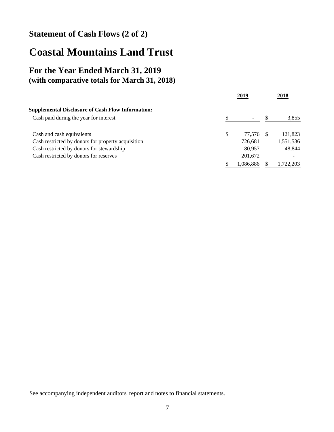## **Statement of Cash Flows (2 of 2)**

# **Coastal Mountains Land Trust**

## **For the Year Ended March 31, 2019 (with comparative totals for March 31, 2018)**

|                                                          | 2019         | 2018      |
|----------------------------------------------------------|--------------|-----------|
| <b>Supplemental Disclosure of Cash Flow Information:</b> |              |           |
| Cash paid during the year for interest                   |              | 3,855     |
| Cash and cash equivalents                                | \$<br>77.576 | 121,823   |
| Cash restricted by donors for property acquisition       | 726,681      | 1,551,536 |
| Cash restricted by donors for stewardship                | 80.957       | 48.844    |
| Cash restricted by donors for reserves                   | 201,672      |           |
|                                                          | 1,086,886    | 1,722,203 |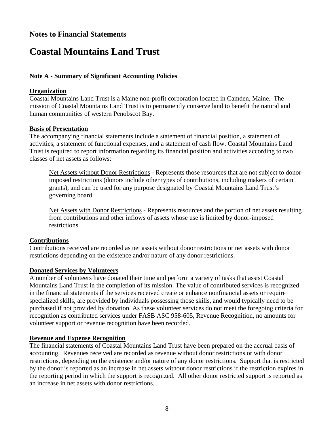### **Notes to Financial Statements**

# **Coastal Mountains Land Trust**

#### **Note A - Summary of Significant Accounting Policies**

#### **Organization**

Coastal Mountains Land Trust is a Maine non-profit corporation located in Camden, Maine. The mission of Coastal Mountains Land Trust is to permanently conserve land to benefit the natural and human communities of western Penobscot Bay.

#### **Basis of Presentation**

The accompanying financial statements include a statement of financial position, a statement of activities, a statement of functional expenses, and a statement of cash flow. Coastal Mountains Land Trust is required to report information regarding its financial position and activities according to two classes of net assets as follows:

Net Assets without Donor Restrictions - Represents those resources that are not subject to donorimposed restrictions (donors include other types of contributions, including makers of certain grants), and can be used for any purpose designated by Coastal Mountains Land Trust's governing board.

Net Assets with Donor Restrictions - Represents resources and the portion of net assets resulting from contributions and other inflows of assets whose use is limited by donor-imposed restrictions.

#### **Contributions**

Contributions received are recorded as net assets without donor restrictions or net assets with donor restrictions depending on the existence and/or nature of any donor restrictions.

#### **Donated Services by Volunteers**

A number of volunteers have donated their time and perform a variety of tasks that assist Coastal Mountains Land Trust in the completion of its mission. The value of contributed services is recognized in the financial statements if the services received create or enhance nonfinancial assets or require specialized skills, are provided by individuals possessing those skills, and would typically need to be purchased if not provided by donation. As these volunteer services do not meet the foregoing criteria for recognition as contributed services under FASB ASC 958-605, Revenue Recognition, no amounts for volunteer support or revenue recognition have been recorded.

#### **Revenue and Expense Recognition**

The financial statements of Coastal Mountains Land Trust have been prepared on the accrual basis of accounting. Revenues received are recorded as revenue without donor restrictions or with donor restrictions, depending on the existence and/or nature of any donor restrictions. Support that is restricted by the donor is reported as an increase in net assets without donor restrictions if the restriction expires in the reporting period in which the support is recognized. All other donor restricted support is reported as an increase in net assets with donor restrictions.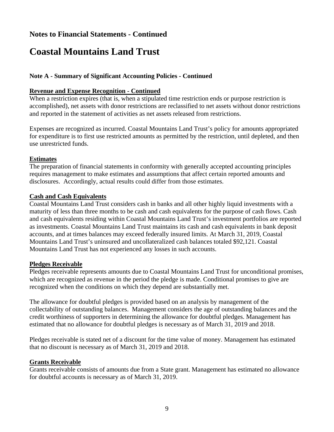# **Coastal Mountains Land Trust**

#### **Note A - Summary of Significant Accounting Policies - Continued**

#### **Revenue and Expense Recognition - Continued**

When a restriction expires (that is, when a stipulated time restriction ends or purpose restriction is accomplished), net assets with donor restrictions are reclassified to net assets without donor restrictions and reported in the statement of activities as net assets released from restrictions.

Expenses are recognized as incurred. Coastal Mountains Land Trust's policy for amounts appropriated for expenditure is to first use restricted amounts as permitted by the restriction, until depleted, and then use unrestricted funds.

#### **Estimates**

The preparation of financial statements in conformity with generally accepted accounting principles requires management to make estimates and assumptions that affect certain reported amounts and disclosures. Accordingly, actual results could differ from those estimates.

#### **Cash and Cash Equivalents**

Coastal Mountains Land Trust considers cash in banks and all other highly liquid investments with a maturity of less than three months to be cash and cash equivalents for the purpose of cash flows. Cash and cash equivalents residing within Coastal Mountains Land Trust's investment portfolios are reported as investments. Coastal Mountains Land Trust maintains its cash and cash equivalents in bank deposit accounts, and at times balances may exceed federally insured limits. At March 31, 2019, Coastal Mountains Land Trust's uninsured and uncollateralized cash balances totaled \$92,121. Coastal Mountains Land Trust has not experienced any losses in such accounts.

#### **Pledges Receivable**

Pledges receivable represents amounts due to Coastal Mountains Land Trust for unconditional promises, which are recognized as revenue in the period the pledge is made. Conditional promises to give are recognized when the conditions on which they depend are substantially met.

The allowance for doubtful pledges is provided based on an analysis by management of the collectability of outstanding balances. Management considers the age of outstanding balances and the credit worthiness of supporters in determining the allowance for doubtful pledges. Management has estimated that no allowance for doubtful pledges is necessary as of March 31, 2019 and 2018.

Pledges receivable is stated net of a discount for the time value of money. Management has estimated that no discount is necessary as of March 31, 2019 and 2018.

#### **Grants Receivable**

Grants receivable consists of amounts due from a State grant. Management has estimated no allowance for doubtful accounts is necessary as of March 31, 2019.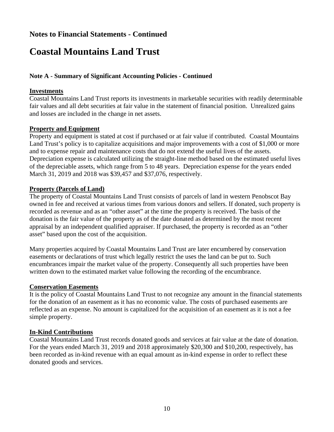# **Coastal Mountains Land Trust**

#### **Note A - Summary of Significant Accounting Policies - Continued**

#### **Investments**

Coastal Mountains Land Trust reports its investments in marketable securities with readily determinable fair values and all debt securities at fair value in the statement of financial position. Unrealized gains and losses are included in the change in net assets.

#### **Property and Equipment**

Property and equipment is stated at cost if purchased or at fair value if contributed. Coastal Mountains Land Trust's policy is to capitalize acquisitions and major improvements with a cost of \$1,000 or more and to expense repair and maintenance costs that do not extend the useful lives of the assets. Depreciation expense is calculated utilizing the straight-line method based on the estimated useful lives of the depreciable assets, which range from 5 to 48 years. Depreciation expense for the years ended March 31, 2019 and 2018 was \$39,457 and \$37,076, respectively.

#### **Property (Parcels of Land)**

The property of Coastal Mountains Land Trust consists of parcels of land in western Penobscot Bay owned in fee and received at various times from various donors and sellers. If donated, such property is recorded as revenue and as an "other asset" at the time the property is received. The basis of the donation is the fair value of the property as of the date donated as determined by the most recent appraisal by an independent qualified appraiser. If purchased, the property is recorded as an "other asset" based upon the cost of the acquisition.

Many properties acquired by Coastal Mountains Land Trust are later encumbered by conservation easements or declarations of trust which legally restrict the uses the land can be put to. Such encumbrances impair the market value of the property. Consequently all such properties have been written down to the estimated market value following the recording of the encumbrance.

#### **Conservation Easements**

It is the policy of Coastal Mountains Land Trust to not recognize any amount in the financial statements for the donation of an easement as it has no economic value. The costs of purchased easements are reflected as an expense. No amount is capitalized for the acquisition of an easement as it is not a fee simple property.

#### **In-Kind Contributions**

Coastal Mountains Land Trust records donated goods and services at fair value at the date of donation. For the years ended March 31, 2019 and 2018 approximately \$20,300 and \$10,200, respectively, has been recorded as in-kind revenue with an equal amount as in-kind expense in order to reflect these donated goods and services.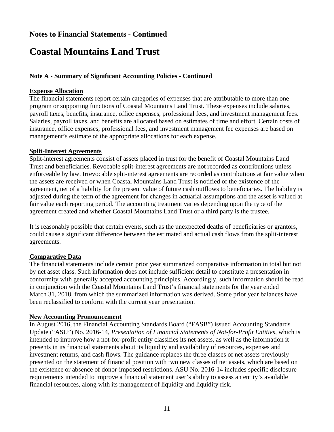# **Coastal Mountains Land Trust**

#### **Note A - Summary of Significant Accounting Policies - Continued**

#### **Expense Allocation**

The financial statements report certain categories of expenses that are attributable to more than one program or supporting functions of Coastal Mountains Land Trust. These expenses include salaries, payroll taxes, benefits, insurance, office expenses, professional fees, and investment management fees. Salaries, payroll taxes, and benefits are allocated based on estimates of time and effort. Certain costs of insurance, office expenses, professional fees, and investment management fee expenses are based on management's estimate of the appropriate allocations for each expense.

#### **Split-Interest Agreements**

Split-interest agreements consist of assets placed in trust for the benefit of Coastal Mountains Land Trust and beneficiaries. Revocable split-interest agreements are not recorded as contributions unless enforceable by law. Irrevocable split-interest agreements are recorded as contributions at fair value when the assets are received or when Coastal Mountains Land Trust is notified of the existence of the agreement, net of a liability for the present value of future cash outflows to beneficiaries. The liability is adjusted during the term of the agreement for changes in actuarial assumptions and the asset is valued at fair value each reporting period. The accounting treatment varies depending upon the type of the agreement created and whether Coastal Mountains Land Trust or a third party is the trustee.

It is reasonably possible that certain events, such as the unexpected deaths of beneficiaries or grantors, could cause a significant difference between the estimated and actual cash flows from the split-interest agreements.

#### **Comparative Data**

The financial statements include certain prior year summarized comparative information in total but not by net asset class. Such information does not include sufficient detail to constitute a presentation in conformity with generally accepted accounting principles. Accordingly, such information should be read in conjunction with the Coastal Mountains Land Trust's financial statements for the year ended March 31, 2018, from which the summarized information was derived. Some prior year balances have been reclassified to conform with the current year presentation.

#### **New Accounting Pronouncement**

In August 2016, the Financial Accounting Standards Board ("FASB") issued Accounting Standards Update ("ASU") No. 2016-14, *Presentation of Financial Statements of Not-for-Profit Entities,* which is intended to improve how a not-for-profit entity classifies its net assets, as well as the information it presents in its financial statements about its liquidity and availability of resources, expenses and investment returns, and cash flows. The guidance replaces the three classes of net assets previously presented on the statement of financial position with two new classes of net assets, which are based on the existence or absence of donor-imposed restrictions. ASU No. 2016-14 includes specific disclosure requirements intended to improve a financial statement user's ability to assess an entity's available financial resources, along with its management of liquidity and liquidity risk.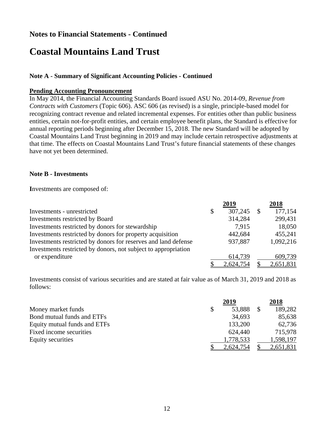# **Coastal Mountains Land Trust**

#### **Note A - Summary of Significant Accounting Policies - Continued**

#### **Pending Accounting Pronouncement**

In May 2014, the Financial Accounting Standards Board issued ASU No. 2014-09, *Revenue from Contracts with Customers* (Topic 606). ASC 606 (as revised) is a single, principle-based model for recognizing contract revenue and related incremental expenses. For entities other than public business entities, certain not-for-profit entities, and certain employee benefit plans, the Standard is effective for annual reporting periods beginning after December 15, 2018. The new Standard will be adopted by Coastal Mountains Land Trust beginning in 2019 and may include certain retrospective adjustments at that time. The effects on Coastal Mountains Land Trust's future financial statements of these changes have not yet been determined.

#### **Note B - Investments**

**I**nvestments are composed of:

|                                                                | 2019          |              | 2018      |
|----------------------------------------------------------------|---------------|--------------|-----------|
| Investments - unrestricted                                     | \$<br>307,245 | $\mathbb{S}$ | 177,154   |
| Investments restricted by Board                                | 314,284       |              | 299,431   |
| Investments restricted by donors for stewardship               | 7.915         |              | 18,050    |
| Investments restricted by donors for property acquisition      | 442,684       |              | 455,241   |
| Investments restricted by donors for reserves and land defense | 937,887       |              | 1,092,216 |
| Investments restricted by donors, not subject to appropriation |               |              |           |
| or expenditure                                                 | 614,739       |              | 609,739   |
|                                                                | 2,624,754     |              | 2,651,831 |

Investments consist of various securities and are stated at fair value as of March 31, 2019 and 2018 as follows:

|                              | 2019      | 2018      |
|------------------------------|-----------|-----------|
| Money market funds           | 53,888    | 189,282   |
| Bond mutual funds and ETFs   | 34,693    | 85,638    |
| Equity mutual funds and ETFs | 133,200   | 62,736    |
| Fixed income securities      | 624,440   | 715,978   |
| Equity securities            | 1,778,533 | 1,598,197 |
|                              | 2,624,754 | 2,651,831 |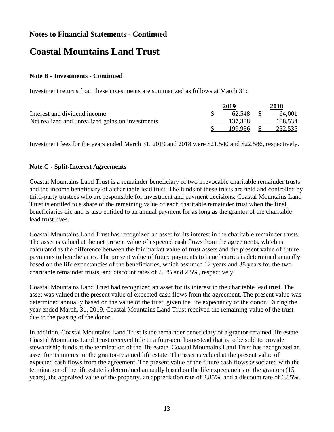# **Coastal Mountains Land Trust**

#### **Note B - Investments - Continued**

Investment returns from these investments are summarized as follows at March 31:

|                                                  | 2019      | 2018    |
|--------------------------------------------------|-----------|---------|
| Interest and dividend income                     | 62.548 \$ | 64.001  |
| Net realized and unrealized gains on investments | 137.388   | 188,534 |
|                                                  | 199.936   | 252,535 |

Investment fees for the years ended March 31, 2019 and 2018 were \$21,540 and \$22,586, respectively.

#### **Note C - Split-Interest Agreements**

Coastal Mountains Land Trust is a remainder beneficiary of two irrevocable charitable remainder trusts and the income beneficiary of a charitable lead trust. The funds of these trusts are held and controlled by third-party trustees who are responsible for investment and payment decisions. Coastal Mountains Land Trust is entitled to a share of the remaining value of each charitable remainder trust when the final beneficiaries die and is also entitled to an annual payment for as long as the grantor of the charitable lead trust lives.

Coastal Mountains Land Trust has recognized an asset for its interest in the charitable remainder trusts. The asset is valued at the net present value of expected cash flows from the agreements, which is calculated as the difference between the fair market value of trust assets and the present value of future payments to beneficiaries. The present value of future payments to beneficiaries is determined annually based on the life expectancies of the beneficiaries, which assumed 12 years and 38 years for the two charitable remainder trusts, and discount rates of 2.0% and 2.5%, respectively.

Coastal Mountains Land Trust had recognized an asset for its interest in the charitable lead trust. The asset was valued at the present value of expected cash flows from the agreement. The present value was determined annually based on the value of the trust, given the life expectancy of the donor. During the year ended March, 31, 2019, Coastal Mountains Land Trust received the remaining value of the trust due to the passing of the donor.

In addition, Coastal Mountains Land Trust is the remainder beneficiary of a grantor-retained life estate. Coastal Mountains Land Trust received title to a four-acre homestead that is to be sold to provide stewardship funds at the termination of the life estate. Coastal Mountains Land Trust has recognized an asset for its interest in the grantor-retained life estate. The asset is valued at the present value of expected cash flows from the agreement. The present value of the future cash flows associated with the termination of the life estate is determined annually based on the life expectancies of the grantors (15 years), the appraised value of the property, an appreciation rate of 2.85%, and a discount rate of 6.85%.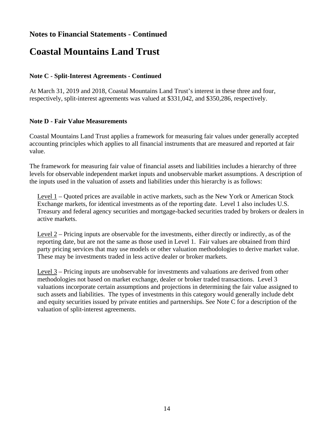# **Coastal Mountains Land Trust**

#### **Note C - Split-Interest Agreements - Continued**

At March 31, 2019 and 2018, Coastal Mountains Land Trust's interest in these three and four, respectively, split-interest agreements was valued at \$331,042, and \$350,286, respectively.

#### **Note D - Fair Value Measurements**

Coastal Mountains Land Trust applies a framework for measuring fair values under generally accepted accounting principles which applies to all financial instruments that are measured and reported at fair value.

The framework for measuring fair value of financial assets and liabilities includes a hierarchy of three levels for observable independent market inputs and unobservable market assumptions. A description of the inputs used in the valuation of assets and liabilities under this hierarchy is as follows:

Level 1 – Quoted prices are available in active markets, such as the New York or American Stock Exchange markets, for identical investments as of the reporting date. Level 1 also includes U.S. Treasury and federal agency securities and mortgage-backed securities traded by brokers or dealers in active markets.

Level 2 – Pricing inputs are observable for the investments, either directly or indirectly, as of the reporting date, but are not the same as those used in Level 1. Fair values are obtained from third party pricing services that may use models or other valuation methodologies to derive market value. These may be investments traded in less active dealer or broker markets.

Level 3 – Pricing inputs are unobservable for investments and valuations are derived from other methodologies not based on market exchange, dealer or broker traded transactions. Level 3 valuations incorporate certain assumptions and projections in determining the fair value assigned to such assets and liabilities. The types of investments in this category would generally include debt and equity securities issued by private entities and partnerships. See Note C for a description of the valuation of split-interest agreements.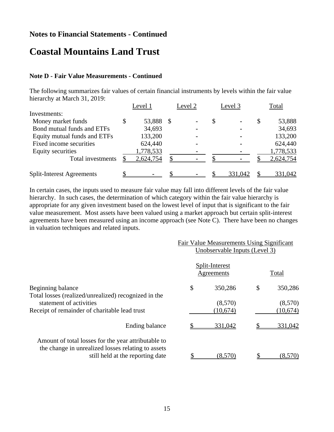## **Coastal Mountains Land Trust**

#### **Note D - Fair Value Measurements - Continued**

The following summarizes fair values of certain financial instruments by levels within the fair value hierarchy at March 31, 2019:

|                                  | Level 1         | Level 2        |   | Level 3        |   | Total     |
|----------------------------------|-----------------|----------------|---|----------------|---|-----------|
| Investments:                     |                 |                |   |                |   |           |
| Money market funds               | \$<br>53,888 \$ | $\blacksquare$ | S | $\blacksquare$ | S | 53,888    |
| Bond mutual funds and ETFs       | 34,693          | $\blacksquare$ |   |                |   | 34,693    |
| Equity mutual funds and ETFs     | 133,200         | $\blacksquare$ |   |                |   | 133,200   |
| Fixed income securities          | 624,440         |                |   |                |   | 624,440   |
| <b>Equity securities</b>         | 1,778,533       |                |   |                |   | 1,778,533 |
| Total investments                | 2,624,754       |                |   |                |   | 2,624,754 |
| <b>Split-Interest Agreements</b> | $\blacksquare$  |                |   | 331,042        |   | 331,042   |

In certain cases, the inputs used to measure fair value may fall into different levels of the fair value hierarchy. In such cases, the determination of which category within the fair value hierarchy is appropriate for any given investment based on the lowest level of input that is significant to the fair value measurement. Most assets have been valued using a market approach but certain split-interest agreements have been measured using an income approach (see Note C). There have been no changes in valuation techniques and related inputs.

|                                                                                        | Fair Value Measurements Using Significant<br>Unobservable Inputs (Level 3) |                              |   |          |  |  |
|----------------------------------------------------------------------------------------|----------------------------------------------------------------------------|------------------------------|---|----------|--|--|
|                                                                                        |                                                                            | Split-Interest<br>Agreements |   | Total    |  |  |
| Beginning balance                                                                      | \$                                                                         | 350,286                      | S | 350,286  |  |  |
| Total losses (realized/unrealized) recognized in the<br>statement of activities        |                                                                            | (8,570)                      |   | (8,570)  |  |  |
| Receipt of remainder of charitable lead trust                                          |                                                                            | (10,674)                     |   | (10,674) |  |  |
| Ending balance                                                                         |                                                                            | 331,042                      |   | 331,042  |  |  |
| Amount of total losses for the year attributable to                                    |                                                                            |                              |   |          |  |  |
| the change in unrealized losses relating to assets<br>still held at the reporting date |                                                                            | (8,570)                      |   | (8,570)  |  |  |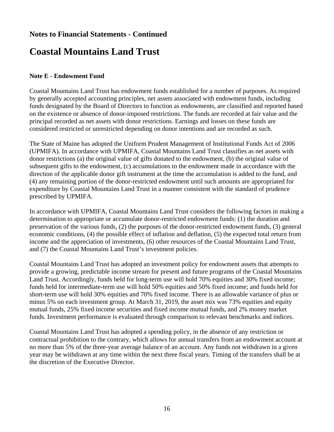# **Coastal Mountains Land Trust**

#### **Note E - Endowment Fund**

Coastal Mountains Land Trust has endowment funds established for a number of purposes. As required by generally accepted accounting principles, net assets associated with endowment funds, including funds designated by the Board of Directors to function as endowments, are classified and reported based on the existence or absence of donor-imposed restrictions. The funds are recorded at fair value and the principal recorded as net assets with donor restrictions. Earnings and losses on these funds are considered restricted or unrestricted depending on donor intentions and are recorded as such.

The State of Maine has adopted the Uniform Prudent Management of Institutional Funds Act of 2006 (UPMIFA). In accordance with UPMIFA, Coastal Mountains Land Trust classifies as net assets with donor restrictions (a) the original value of gifts donated to the endowment, (b) the original value of subsequent gifts to the endowment, (c) accumulations to the endowment made in accordance with the direction of the applicable donor gift instrument at the time the accumulation is added to the fund, and (4) any remaining portion of the donor-restricted endowment until such amounts are appropriated for expenditure by Coastal Mountains Land Trust in a manner consistent with the standard of prudence prescribed by UPMIFA.

In accordance with UPMIFA, Coastal Mountains Land Trust considers the following factors in making a determination to appropriate or accumulate donor-restricted endowment funds: (1) the duration and preservation of the various funds, (2) the purposes of the donor-restricted endowment funds, (3) general economic conditions, (4) the possible effect of inflation and deflation, (5) the expected total return from income and the appreciation of investments, (6) other resources of the Coastal Mountains Land Trust, and (7) the Coastal Mountains Land Trust's investment policies.

Coastal Mountains Land Trust has adopted an investment policy for endowment assets that attempts to provide a growing, predictable income stream for present and future programs of the Coastal Mountains Land Trust. Accordingly, funds held for long-term use will hold 70% equities and 30% fixed income; funds held for intermediate-term use will hold 50% equities and 50% fixed income; and funds held for short-term use will hold 30% equities and 70% fixed income. There is an allowable variance of plus or minus 5% on each investment group. At March 31, 2019, the asset mix was 73% equities and equity mutual funds, 25% fixed income securities and fixed income mutual funds, and 2% money market funds. Investment performance is evaluated through comparison to relevant benchmarks and indices.

Coastal Mountains Land Trust has adopted a spending policy, in the absence of any restriction or contractual prohibition to the contrary, which allows for annual transfers from an endowment account at no more than 5% of the three-year average balance of an account. Any funds not withdrawn in a given year may be withdrawn at any time within the next three fiscal years. Timing of the transfers shall be at the discretion of the Executive Director.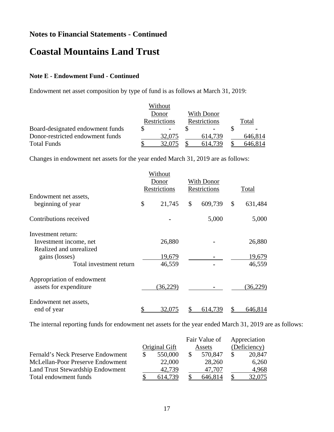# **Coastal Mountains Land Trust**

#### **Note E - Endowment Fund - Continued**

Endowment net asset composition by type of fund is as follows at March 31, 2019:

|                                  |              | Without        |  |                |         |
|----------------------------------|--------------|----------------|--|----------------|---------|
|                                  | Donor        |                |  | With Donor     |         |
|                                  | Restrictions |                |  | Restrictions   | Total   |
| Board-designated endowment funds |              | $\blacksquare$ |  | $\blacksquare$ | $\sim$  |
| Donor-restricted endowment funds |              | 32,075         |  | 614.739        | 646,814 |
| <b>Total Funds</b>               |              | 32,075         |  | 614.739        | 646.814 |

Changes in endowment net assets for the year ended March 31, 2019 are as follows:

|                            |                       | Without  |                            |         |       |           |
|----------------------------|-----------------------|----------|----------------------------|---------|-------|-----------|
|                            | Donor<br>Restrictions |          | With Donor<br>Restrictions |         |       |           |
|                            |                       |          |                            |         | Total |           |
| Endowment net assets,      |                       |          |                            |         |       |           |
| beginning of year          | \$                    | 21,745   | \$                         | 609,739 | \$    | 631,484   |
| Contributions received     |                       |          |                            | 5,000   |       | 5,000     |
| Investment return:         |                       |          |                            |         |       |           |
| Investment income, net     |                       | 26,880   |                            |         |       | 26,880    |
| Realized and unrealized    |                       |          |                            |         |       |           |
| gains (losses)             |                       | 19,679   |                            |         |       | 19,679    |
| Total investment return    |                       | 46,559   |                            |         |       | 46,559    |
| Appropriation of endowment |                       |          |                            |         |       |           |
| assets for expenditure     |                       | (36,229) |                            |         |       | (36, 229) |
| Endowment net assets,      |                       |          |                            |         |       |           |
| end of year                |                       | 32,075   |                            | 614,739 |       | 646,814   |

The internal reporting funds for endowment net assets for the year ended March 31, 2019 are as follows:

|                                   | Fair Value of |               |  | Appreciation |   |              |
|-----------------------------------|---------------|---------------|--|--------------|---|--------------|
|                                   |               | Original Gift |  | Assets       |   | (Deficiency) |
| Fernald's Neck Preserve Endowment |               | 550,000       |  | 570,847      | S | 20,847       |
| McLellan-Poor Preserve Endowment  |               | 22,000        |  | 28,260       |   | 6,260        |
| Land Trust Stewardship Endowment  |               | 42,739        |  | 47.707       |   | 4,968        |
| Total endowment funds             |               | 614.739       |  | 646,814      |   | 32,075       |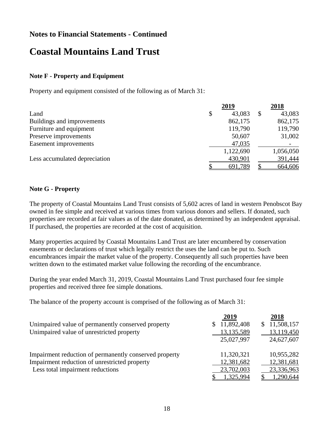## **Coastal Mountains Land Trust**

#### **Note F - Property and Equipment**

Property and equipment consisted of the following as of March 31:

|                               | 2019         | 2018         |
|-------------------------------|--------------|--------------|
| Land                          | \$<br>43,083 | \$<br>43,083 |
| Buildings and improvements    | 862,175      | 862,175      |
| Furniture and equipment       | 119,790      | 119,790      |
| Preserve improvements         | 50,607       | 31,002       |
| Easement improvements         | 47,035       |              |
|                               | 1,122,690    | 1,056,050    |
| Less accumulated depreciation | 430,901      | 391,444      |
|                               | 691,789      | 664,606      |

#### **Note G - Property**

The property of Coastal Mountains Land Trust consists of 5,602 acres of land in western Penobscot Bay owned in fee simple and received at various times from various donors and sellers. If donated, such properties are recorded at fair values as of the date donated, as determined by an independent appraisal. If purchased, the properties are recorded at the cost of acquisition.

Many properties acquired by Coastal Mountains Land Trust are later encumbered by conservation easements or declarations of trust which legally restrict the uses the land can be put to. Such encumbrances impair the market value of the property. Consequently all such properties have been written down to the estimated market value following the recording of the encumbrance.

During the year ended March 31, 2019, Coastal Mountains Land Trust purchased four fee simple properties and received three fee simple donations.

The balance of the property account is comprised of the following as of March 31:

|                                                        | 2019              | 2018                        |
|--------------------------------------------------------|-------------------|-----------------------------|
| Unimpaired value of permanently conserved property     | 11,892,408<br>SS. | 11,508,157<br><sup>\$</sup> |
| Unimpaired value of unrestricted property              | 13, 135, 589      | 13,119,450                  |
|                                                        | 25,027,997        | 24,627,607                  |
| Impairment reduction of permanently conserved property | 11,320,321        | 10,955,282                  |
| Impairment reduction of unrestricted property          | 12,381,682        | 12,381,681                  |
| Less total impairment reductions                       | 23,702,003        | 23,336,963                  |
|                                                        | 1,325,994         | 1,290,644                   |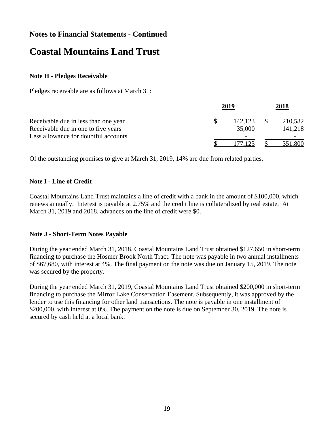# **Coastal Mountains Land Trust**

#### **Note H - Pledges Receivable**

Pledges receivable are as follows at March 31:

|                                      | 2019 |         | 2018 |         |
|--------------------------------------|------|---------|------|---------|
| Receivable due in less than one year |      | 142.123 |      | 210,582 |
| Receivable due in one to five years  |      | 35,000  |      | 141,218 |
| Less allowance for doubtful accounts |      |         |      |         |
|                                      |      |         |      | 351,800 |

Of the outstanding promises to give at March 31, 2019, 14% are due from related parties.

#### **Note I - Line of Credit**

Coastal Mountains Land Trust maintains a line of credit with a bank in the amount of \$100,000, which renews annually. Interest is payable at 2.75% and the credit line is collateralized by real estate. At March 31, 2019 and 2018, advances on the line of credit were \$0.

#### **Note J - Short-Term Notes Payable**

During the year ended March 31, 2018, Coastal Mountains Land Trust obtained \$127,650 in short-term financing to purchase the Hosmer Brook North Tract. The note was payable in two annual installments of \$67,680, with interest at 4%. The final payment on the note was due on January 15, 2019. The note was secured by the property.

During the year ended March 31, 2019, Coastal Mountains Land Trust obtained \$200,000 in short-term financing to purchase the Mirror Lake Conservation Easement. Subsequently, it was approved by the lender to use this financing for other land transactions. The note is payable in one installment of \$200,000, with interest at 0%. The payment on the note is due on September 30, 2019. The note is secured by cash held at a local bank.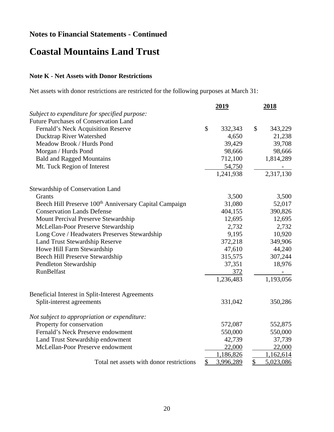# **Coastal Mountains Land Trust**

### **Note K - Net Assets with Donor Restrictions**

Net assets with donor restrictions are restricted for the following purposes at March 31:

|                                                                    | 2019            |                          | 2018      |
|--------------------------------------------------------------------|-----------------|--------------------------|-----------|
| Subject to expenditure for specified purpose:                      |                 |                          |           |
| <b>Future Purchases of Conservation Land</b>                       |                 |                          |           |
| Fernald's Neck Acquisition Reserve                                 | \$<br>332,343   | \$                       | 343,229   |
| Ducktrap River Watershed                                           | 4,650           |                          | 21,238    |
| Meadow Brook / Hurds Pond                                          | 39,429          |                          | 39,708    |
| Morgan / Hurds Pond                                                | 98,666          |                          | 98,666    |
| <b>Bald and Ragged Mountains</b>                                   | 712,100         |                          | 1,814,289 |
| Mt. Tuck Region of Interest                                        | 54,750          |                          |           |
|                                                                    | 1,241,938       |                          | 2,317,130 |
| Stewardship of Conservation Land                                   |                 |                          |           |
| Grants                                                             | 3,500           |                          | 3,500     |
| Beech Hill Preserve 100 <sup>th</sup> Anniversary Capital Campaign | 31,080          |                          | 52,017    |
| <b>Conservation Lands Defense</b>                                  | 404,155         |                          | 390,826   |
| Mount Percival Preserve Stewardship                                | 12,695          |                          | 12,695    |
| McLellan-Poor Preserve Stewardship                                 | 2,732           |                          | 2,732     |
| Long Cove / Headwaters Preserves Stewardship                       | 9,195           |                          | 10,920    |
| Land Trust Stewardship Reserve                                     | 372,218         |                          | 349,906   |
| Howe Hill Farm Stewardship                                         | 47,610          |                          | 44,240    |
| Beech Hill Preserve Stewardship                                    | 315,575         |                          | 307,244   |
| Pendleton Stewardship                                              | 37,351          |                          | 18,976    |
| RunBelfast                                                         | 372             |                          |           |
|                                                                    | 1,236,483       |                          | 1,193,056 |
| Beneficial Interest in Split-Interest Agreements                   |                 |                          |           |
| Split-interest agreements                                          | 331,042         |                          | 350,286   |
| Not subject to appropriation or expenditure:                       |                 |                          |           |
| Property for conservation                                          | 572,087         |                          | 552,875   |
| Fernald's Neck Preserve endowment                                  | 550,000         |                          | 550,000   |
| Land Trust Stewardship endowment                                   | 42,739          |                          | 37,739    |
| McLellan-Poor Preserve endowment                                   | 22,000          |                          | 22,000    |
|                                                                    | 1,186,826       |                          | 1,162,614 |
| Total net assets with donor restrictions                           | \$<br>3,996,289 | $\overline{\mathcal{L}}$ | 5,023,086 |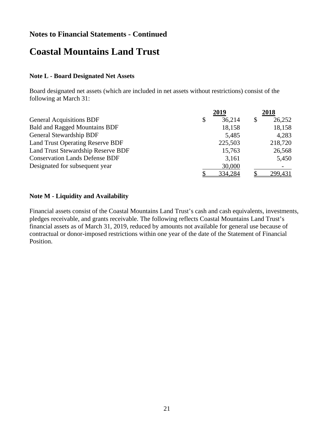## **Coastal Mountains Land Trust**

#### **Note L - Board Designated Net Assets**

Board designated net assets (which are included in net assets without restrictions) consist of the following at March 31:

|                                         | 2019         | 2018         |
|-----------------------------------------|--------------|--------------|
| <b>General Acquisitions BDF</b>         | \$<br>36,214 | \$<br>26,252 |
| <b>Bald and Ragged Mountains BDF</b>    | 18,158       | 18,158       |
| General Stewardship BDF                 | 5,485        | 4,283        |
| <b>Land Trust Operating Reserve BDF</b> | 225,503      | 218,720      |
| Land Trust Stewardship Reserve BDF      | 15,763       | 26,568       |
| <b>Conservation Lands Defense BDF</b>   | 3,161        | 5,450        |
| Designated for subsequent year          | 30,000       |              |
|                                         | 334,284      | 299,431      |

#### **Note M - Liquidity and Availability**

Financial assets consist of the Coastal Mountains Land Trust's cash and cash equivalents, investments, pledges receivable, and grants receivable. The following reflects Coastal Mountains Land Trust's financial assets as of March 31, 2019, reduced by amounts not available for general use because of contractual or donor-imposed restrictions within one year of the date of the Statement of Financial Position.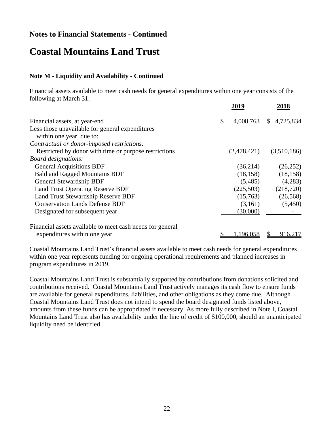## **Coastal Mountains Land Trust**

#### **Note M - Liquidity and Availability - Continued**

Financial assets available to meet cash needs for general expenditures within one year consists of the following at March 31:

|                                                                             | 2019            | 2018                      |
|-----------------------------------------------------------------------------|-----------------|---------------------------|
| Financial assets, at year-end                                               | \$<br>4,008,763 | 4,725,834<br>$\mathbb{S}$ |
| Less those unavailable for general expenditures<br>within one year, due to: |                 |                           |
| Contractual or donor-imposed restrictions:                                  |                 |                           |
| Restricted by donor with time or purpose restrictions                       | (2,478,421)     | (3,510,186)               |
| <b>Board designations:</b>                                                  |                 |                           |
| <b>General Acquisitions BDF</b>                                             | (36,214)        | (26, 252)                 |
| <b>Bald and Ragged Mountains BDF</b>                                        | (18, 158)       | (18, 158)                 |
| General Stewardship BDF                                                     | (5,485)         | (4,283)                   |
| <b>Land Trust Operating Reserve BDF</b>                                     | (225,503)       | (218, 720)                |
| Land Trust Stewardship Reserve BDF                                          | (15,763)        | (26, 568)                 |
| <b>Conservation Lands Defense BDF</b>                                       | (3,161)         | (5,450)                   |
| Designated for subsequent year                                              | (30,000)        |                           |
| Financial assets available to meet cash needs for general                   |                 |                           |
| expenditures within one year                                                | \$<br>1,196,058 | 916,217                   |

Coastal Mountains Land Trust's financial assets available to meet cash needs for general expenditures within one year represents funding for ongoing operational requirements and planned increases in program expenditures in 2019.

Coastal Mountains Land Trust is substantially supported by contributions from donations solicited and contributions received. Coastal Mountains Land Trust actively manages its cash flow to ensure funds are available for general expenditures, liabilities, and other obligations as they come due. Although Coastal Mountains Land Trust does not intend to spend the board designated funds listed above, amounts from these funds can be appropriated if necessary. As more fully described in Note I, Coastal Mountains Land Trust also has availability under the line of credit of \$100,000, should an unanticipated liquidity need be identified.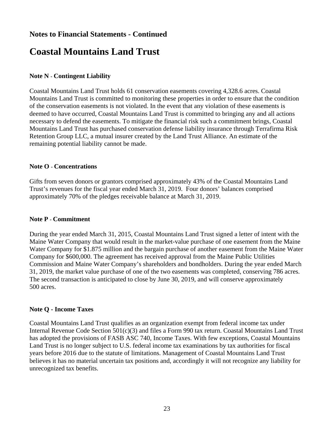# **Coastal Mountains Land Trust**

#### **Note N - Contingent Liability**

Coastal Mountains Land Trust holds 61 conservation easements covering 4,328.6 acres. Coastal Mountains Land Trust is committed to monitoring these properties in order to ensure that the condition of the conservation easements is not violated. In the event that any violation of these easements is deemed to have occurred, Coastal Mountains Land Trust is committed to bringing any and all actions necessary to defend the easements. To mitigate the financial risk such a commitment brings, Coastal Mountains Land Trust has purchased conservation defense liability insurance through Terrafirma Risk Retention Group LLC, a mutual insurer created by the Land Trust Alliance. An estimate of the remaining potential liability cannot be made.

#### **Note O - Concentrations**

Gifts from seven donors or grantors comprised approximately 43% of the Coastal Mountains Land Trust's revenues for the fiscal year ended March 31, 2019. Four donors' balances comprised approximately 70% of the pledges receivable balance at March 31, 2019.

#### **Note P - Commitment**

During the year ended March 31, 2015, Coastal Mountains Land Trust signed a letter of intent with the Maine Water Company that would result in the market-value purchase of one easement from the Maine Water Company for \$1.875 million and the bargain purchase of another easement from the Maine Water Company for \$600,000. The agreement has received approval from the Maine Public Utilities Commission and Maine Water Company's shareholders and bondholders. During the year ended March 31, 2019, the market value purchase of one of the two easements was completed, conserving 786 acres. The second transaction is anticipated to close by June 30, 2019, and will conserve approximately 500 acres.

#### **Note Q - Income Taxes**

Coastal Mountains Land Trust qualifies as an organization exempt from federal income tax under Internal Revenue Code Section 501(c)(3) and files a Form 990 tax return. Coastal Mountains Land Trust has adopted the provisions of FASB ASC 740, Income Taxes. With few exceptions, Coastal Mountains Land Trust is no longer subject to U.S. federal income tax examinations by tax authorities for fiscal years before 2016 due to the statute of limitations. Management of Coastal Mountains Land Trust believes it has no material uncertain tax positions and, accordingly it will not recognize any liability for unrecognized tax benefits.